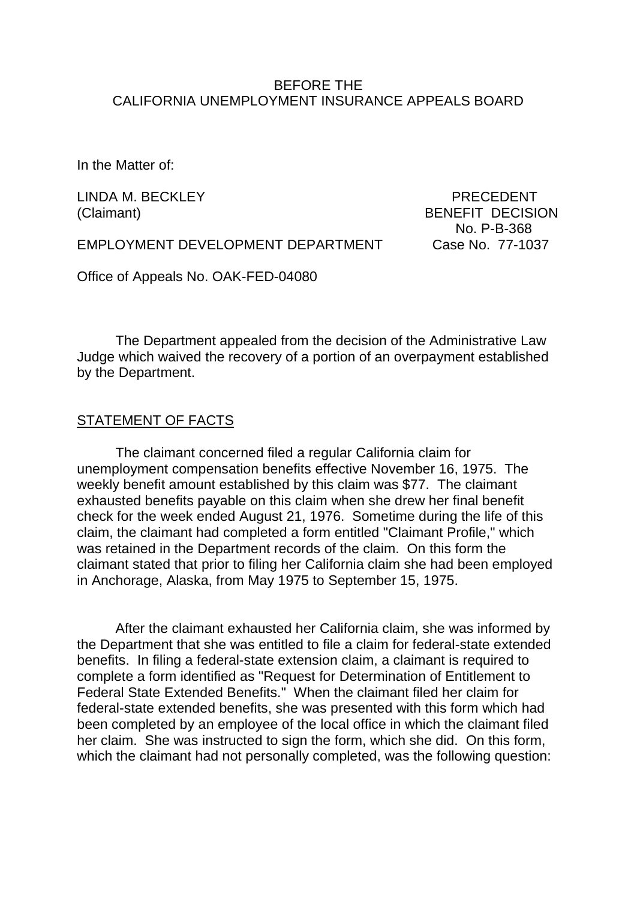#### BEFORE THE CALIFORNIA UNEMPLOYMENT INSURANCE APPEALS BOARD

In the Matter of:

LINDA M. BECKLEY PRECEDENT

(Claimant) BENEFIT DECISION No. P-B-368

EMPLOYMENT DEVELOPMENT DEPARTMENT Case No. 77-1037

Office of Appeals No. OAK-FED-04080

The Department appealed from the decision of the Administrative Law Judge which waived the recovery of a portion of an overpayment established by the Department.

### STATEMENT OF FACTS

The claimant concerned filed a regular California claim for unemployment compensation benefits effective November 16, 1975. The weekly benefit amount established by this claim was \$77. The claimant exhausted benefits payable on this claim when she drew her final benefit check for the week ended August 21, 1976. Sometime during the life of this claim, the claimant had completed a form entitled "Claimant Profile," which was retained in the Department records of the claim. On this form the claimant stated that prior to filing her California claim she had been employed in Anchorage, Alaska, from May 1975 to September 15, 1975.

After the claimant exhausted her California claim, she was informed by the Department that she was entitled to file a claim for federal-state extended benefits. In filing a federal-state extension claim, a claimant is required to complete a form identified as "Request for Determination of Entitlement to Federal State Extended Benefits." When the claimant filed her claim for federal-state extended benefits, she was presented with this form which had been completed by an employee of the local office in which the claimant filed her claim. She was instructed to sign the form, which she did. On this form, which the claimant had not personally completed, was the following question: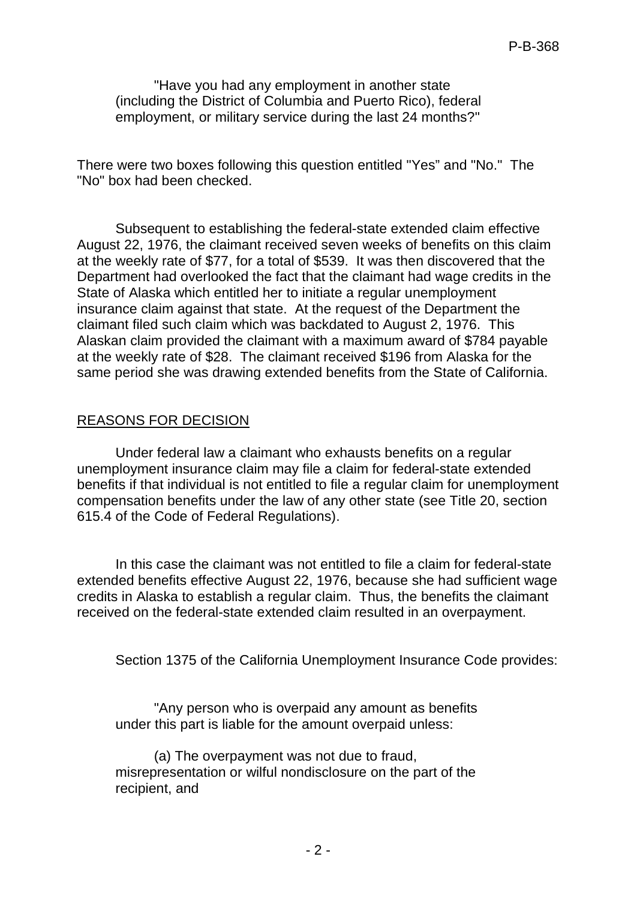"Have you had any employment in another state (including the District of Columbia and Puerto Rico), federal employment, or military service during the last 24 months?"

There were two boxes following this question entitled "Yes" and "No." The "No" box had been checked.

Subsequent to establishing the federal-state extended claim effective August 22, 1976, the claimant received seven weeks of benefits on this claim at the weekly rate of \$77, for a total of \$539. It was then discovered that the Department had overlooked the fact that the claimant had wage credits in the State of Alaska which entitled her to initiate a regular unemployment insurance claim against that state. At the request of the Department the claimant filed such claim which was backdated to August 2, 1976. This Alaskan claim provided the claimant with a maximum award of \$784 payable at the weekly rate of \$28. The claimant received \$196 from Alaska for the same period she was drawing extended benefits from the State of California.

## REASONS FOR DECISION

Under federal law a claimant who exhausts benefits on a regular unemployment insurance claim may file a claim for federal-state extended benefits if that individual is not entitled to file a regular claim for unemployment compensation benefits under the law of any other state (see Title 20, section 615.4 of the Code of Federal Regulations).

In this case the claimant was not entitled to file a claim for federal-state extended benefits effective August 22, 1976, because she had sufficient wage credits in Alaska to establish a regular claim. Thus, the benefits the claimant received on the federal-state extended claim resulted in an overpayment.

Section 1375 of the California Unemployment Insurance Code provides:

"Any person who is overpaid any amount as benefits under this part is liable for the amount overpaid unless:

(a) The overpayment was not due to fraud, misrepresentation or wilful nondisclosure on the part of the recipient, and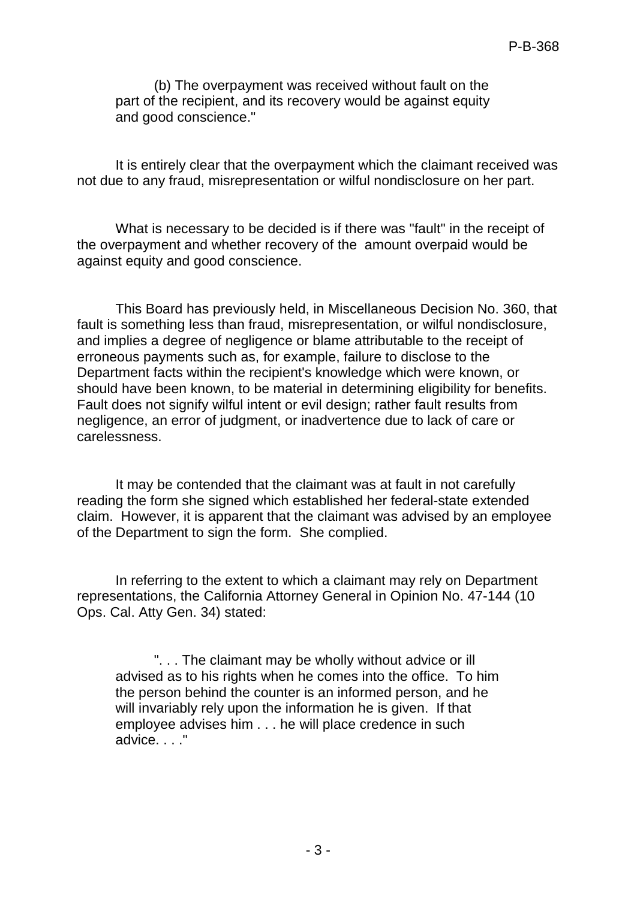(b) The overpayment was received without fault on the part of the recipient, and its recovery would be against equity and good conscience."

It is entirely clear that the overpayment which the claimant received was not due to any fraud, misrepresentation or wilful nondisclosure on her part.

What is necessary to be decided is if there was "fault" in the receipt of the overpayment and whether recovery of the amount overpaid would be against equity and good conscience.

This Board has previously held, in Miscellaneous Decision No. 360, that fault is something less than fraud, misrepresentation, or wilful nondisclosure, and implies a degree of negligence or blame attributable to the receipt of erroneous payments such as, for example, failure to disclose to the Department facts within the recipient's knowledge which were known, or should have been known, to be material in determining eligibility for benefits. Fault does not signify wilful intent or evil design; rather fault results from negligence, an error of judgment, or inadvertence due to lack of care or carelessness.

It may be contended that the claimant was at fault in not carefully reading the form she signed which established her federal-state extended claim. However, it is apparent that the claimant was advised by an employee of the Department to sign the form. She complied.

In referring to the extent to which a claimant may rely on Department representations, the California Attorney General in Opinion No. 47-144 (10 Ops. Cal. Atty Gen. 34) stated:

". . . The claimant may be wholly without advice or ill advised as to his rights when he comes into the office. To him the person behind the counter is an informed person, and he will invariably rely upon the information he is given. If that employee advises him . . . he will place credence in such advice. . . ."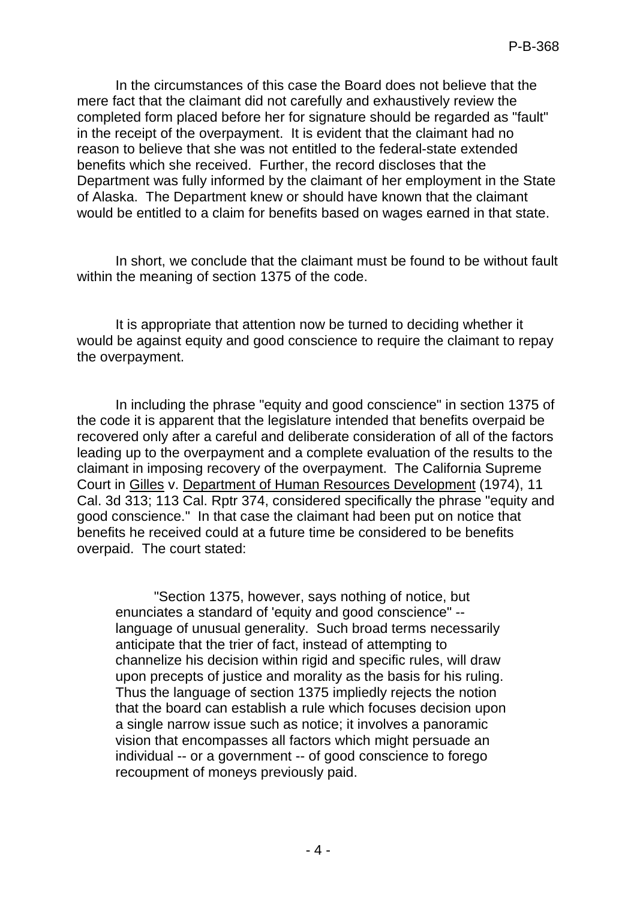In the circumstances of this case the Board does not believe that the mere fact that the claimant did not carefully and exhaustively review the completed form placed before her for signature should be regarded as "fault" in the receipt of the overpayment. It is evident that the claimant had no reason to believe that she was not entitled to the federal-state extended benefits which she received. Further, the record discloses that the Department was fully informed by the claimant of her employment in the State of Alaska. The Department knew or should have known that the claimant would be entitled to a claim for benefits based on wages earned in that state.

In short, we conclude that the claimant must be found to be without fault within the meaning of section 1375 of the code.

It is appropriate that attention now be turned to deciding whether it would be against equity and good conscience to require the claimant to repay the overpayment.

In including the phrase "equity and good conscience" in section 1375 of the code it is apparent that the legislature intended that benefits overpaid be recovered only after a careful and deliberate consideration of all of the factors leading up to the overpayment and a complete evaluation of the results to the claimant in imposing recovery of the overpayment. The California Supreme Court in Gilles v. Department of Human Resources Development (1974), 11 Cal. 3d 313; 113 Cal. Rptr 374, considered specifically the phrase "equity and good conscience." In that case the claimant had been put on notice that benefits he received could at a future time be considered to be benefits overpaid. The court stated:

"Section 1375, however, says nothing of notice, but enunciates a standard of 'equity and good conscience" - language of unusual generality. Such broad terms necessarily anticipate that the trier of fact, instead of attempting to channelize his decision within rigid and specific rules, will draw upon precepts of justice and morality as the basis for his ruling. Thus the language of section 1375 impliedly rejects the notion that the board can establish a rule which focuses decision upon a single narrow issue such as notice; it involves a panoramic vision that encompasses all factors which might persuade an individual -- or a government -- of good conscience to forego recoupment of moneys previously paid.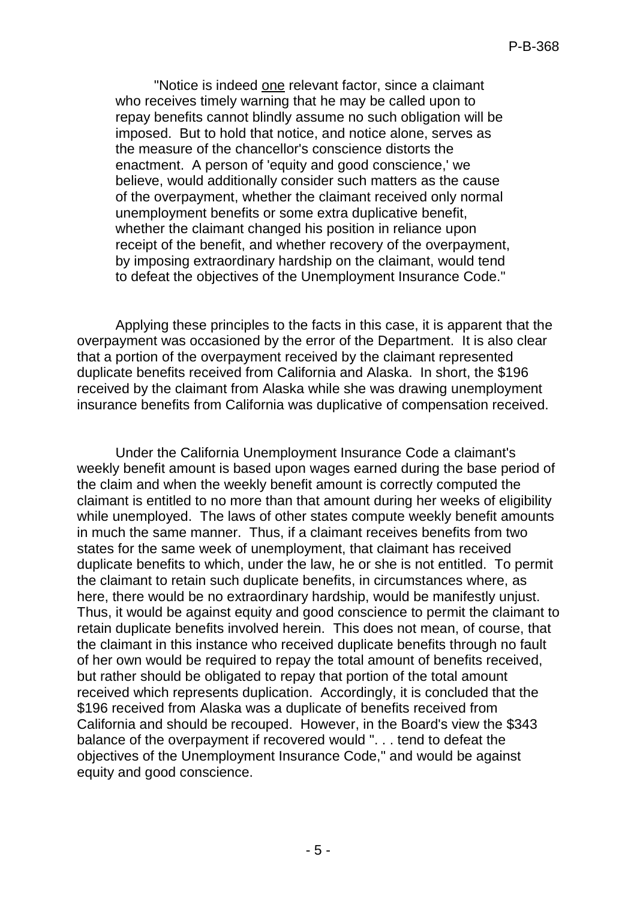"Notice is indeed one relevant factor, since a claimant who receives timely warning that he may be called upon to repay benefits cannot blindly assume no such obligation will be imposed. But to hold that notice, and notice alone, serves as the measure of the chancellor's conscience distorts the enactment. A person of 'equity and good conscience,' we believe, would additionally consider such matters as the cause of the overpayment, whether the claimant received only normal unemployment benefits or some extra duplicative benefit, whether the claimant changed his position in reliance upon receipt of the benefit, and whether recovery of the overpayment, by imposing extraordinary hardship on the claimant, would tend to defeat the objectives of the Unemployment Insurance Code."

Applying these principles to the facts in this case, it is apparent that the overpayment was occasioned by the error of the Department. It is also clear that a portion of the overpayment received by the claimant represented duplicate benefits received from California and Alaska. In short, the \$196 received by the claimant from Alaska while she was drawing unemployment insurance benefits from California was duplicative of compensation received.

Under the California Unemployment Insurance Code a claimant's weekly benefit amount is based upon wages earned during the base period of the claim and when the weekly benefit amount is correctly computed the claimant is entitled to no more than that amount during her weeks of eligibility while unemployed. The laws of other states compute weekly benefit amounts in much the same manner. Thus, if a claimant receives benefits from two states for the same week of unemployment, that claimant has received duplicate benefits to which, under the law, he or she is not entitled. To permit the claimant to retain such duplicate benefits, in circumstances where, as here, there would be no extraordinary hardship, would be manifestly unjust. Thus, it would be against equity and good conscience to permit the claimant to retain duplicate benefits involved herein. This does not mean, of course, that the claimant in this instance who received duplicate benefits through no fault of her own would be required to repay the total amount of benefits received, but rather should be obligated to repay that portion of the total amount received which represents duplication. Accordingly, it is concluded that the \$196 received from Alaska was a duplicate of benefits received from California and should be recouped. However, in the Board's view the \$343 balance of the overpayment if recovered would ". . . tend to defeat the objectives of the Unemployment Insurance Code," and would be against equity and good conscience.